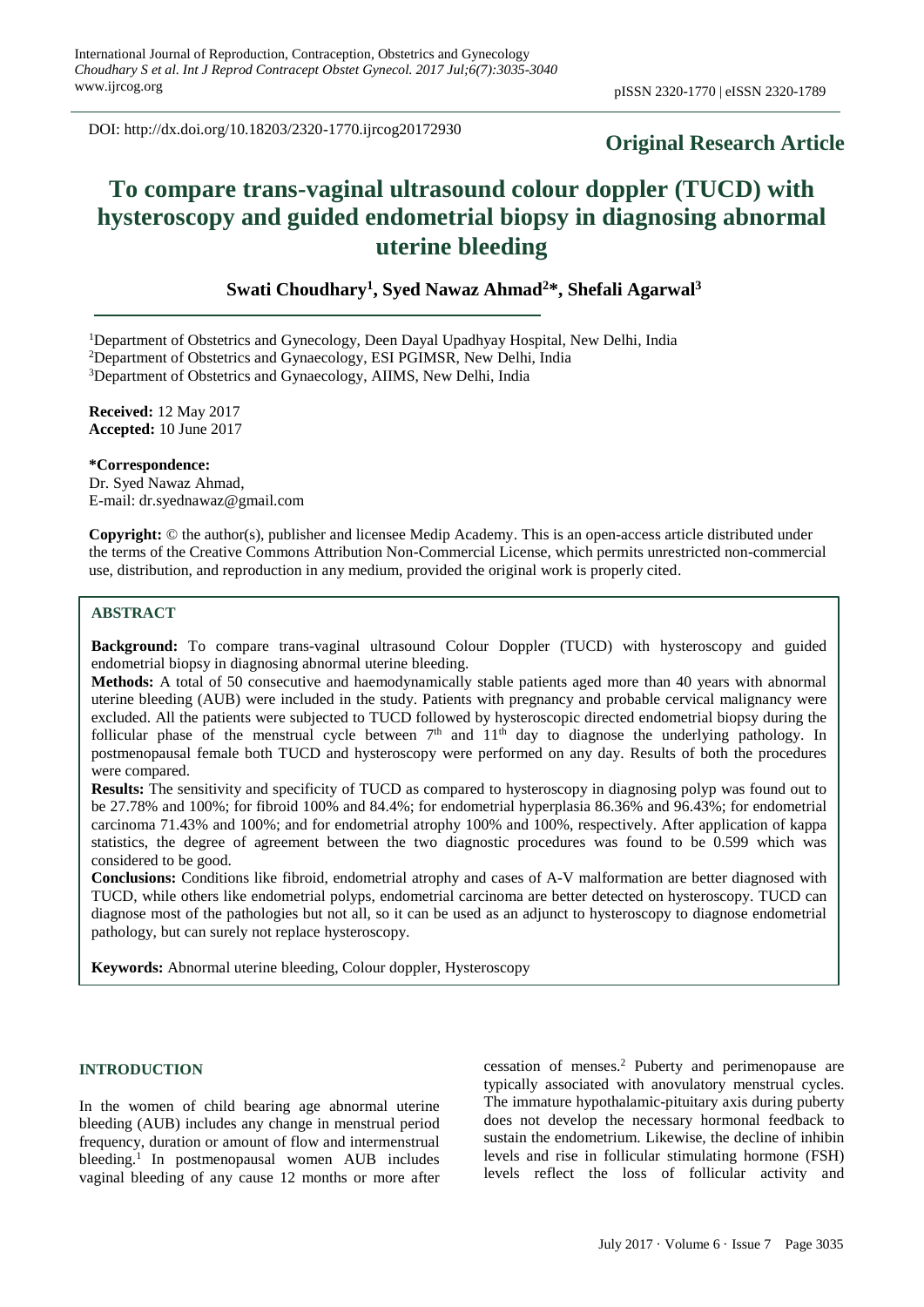DOI: http://dx.doi.org/10.18203/2320-1770.ijrcog20172930

# **Original Research Article**

# **To compare trans-vaginal ultrasound colour doppler (TUCD) with hysteroscopy and guided endometrial biopsy in diagnosing abnormal uterine bleeding**

**Swati Choudhary<sup>1</sup> , Syed Nawaz Ahmad<sup>2</sup>\*, Shefali Agarwal<sup>3</sup>**

<sup>1</sup>Department of Obstetrics and Gynecology, Deen Dayal Upadhyay Hospital, New Delhi, India

<sup>2</sup>Department of Obstetrics and Gynaecology, ESI PGIMSR, New Delhi, India

<sup>3</sup>Department of Obstetrics and Gynaecology, AIIMS, New Delhi, India

**Received:** 12 May 2017 **Accepted:** 10 June 2017

**\*Correspondence:**

Dr. Syed Nawaz Ahmad, E-mail: dr.syednawaz@gmail.com

**Copyright:** © the author(s), publisher and licensee Medip Academy. This is an open-access article distributed under the terms of the Creative Commons Attribution Non-Commercial License, which permits unrestricted non-commercial use, distribution, and reproduction in any medium, provided the original work is properly cited.

#### **ABSTRACT**

**Background:** To compare trans-vaginal ultrasound Colour Doppler (TUCD) with hysteroscopy and guided endometrial biopsy in diagnosing abnormal uterine bleeding.

**Methods:** A total of 50 consecutive and haemodynamically stable patients aged more than 40 years with abnormal uterine bleeding (AUB) were included in the study. Patients with pregnancy and probable cervical malignancy were excluded. All the patients were subjected to TUCD followed by hysteroscopic directed endometrial biopsy during the follicular phase of the menstrual cycle between  $7<sup>th</sup>$  and  $11<sup>th</sup>$  day to diagnose the underlying pathology. In postmenopausal female both TUCD and hysteroscopy were performed on any day. Results of both the procedures were compared.

**Results:** The sensitivity and specificity of TUCD as compared to hysteroscopy in diagnosing polyp was found out to be 27.78% and 100%; for fibroid 100% and 84.4%; for endometrial hyperplasia 86.36% and 96.43%; for endometrial carcinoma 71.43% and 100%; and for endometrial atrophy 100% and 100%, respectively. After application of kappa statistics, the degree of agreement between the two diagnostic procedures was found to be 0.599 which was considered to be good.

**Conclusions:** Conditions like fibroid, endometrial atrophy and cases of A-V malformation are better diagnosed with TUCD, while others like endometrial polyps, endometrial carcinoma are better detected on hysteroscopy. TUCD can diagnose most of the pathologies but not all, so it can be used as an adjunct to hysteroscopy to diagnose endometrial pathology, but can surely not replace hysteroscopy.

**Keywords:** Abnormal uterine bleeding, Colour doppler, Hysteroscopy

#### **INTRODUCTION**

In the women of child bearing age abnormal uterine bleeding (AUB) includes any change in menstrual period frequency, duration or amount of flow and intermenstrual bleeding.<sup>1</sup> In postmenopausal women AUB includes vaginal bleeding of any cause 12 months or more after cessation of menses.<sup>2</sup> Puberty and perimenopause are typically associated with anovulatory menstrual cycles. The immature hypothalamic-pituitary axis during puberty does not develop the necessary hormonal feedback to sustain the endometrium. Likewise, the decline of inhibin levels and rise in follicular stimulating hormone (FSH) levels reflect the loss of follicular activity and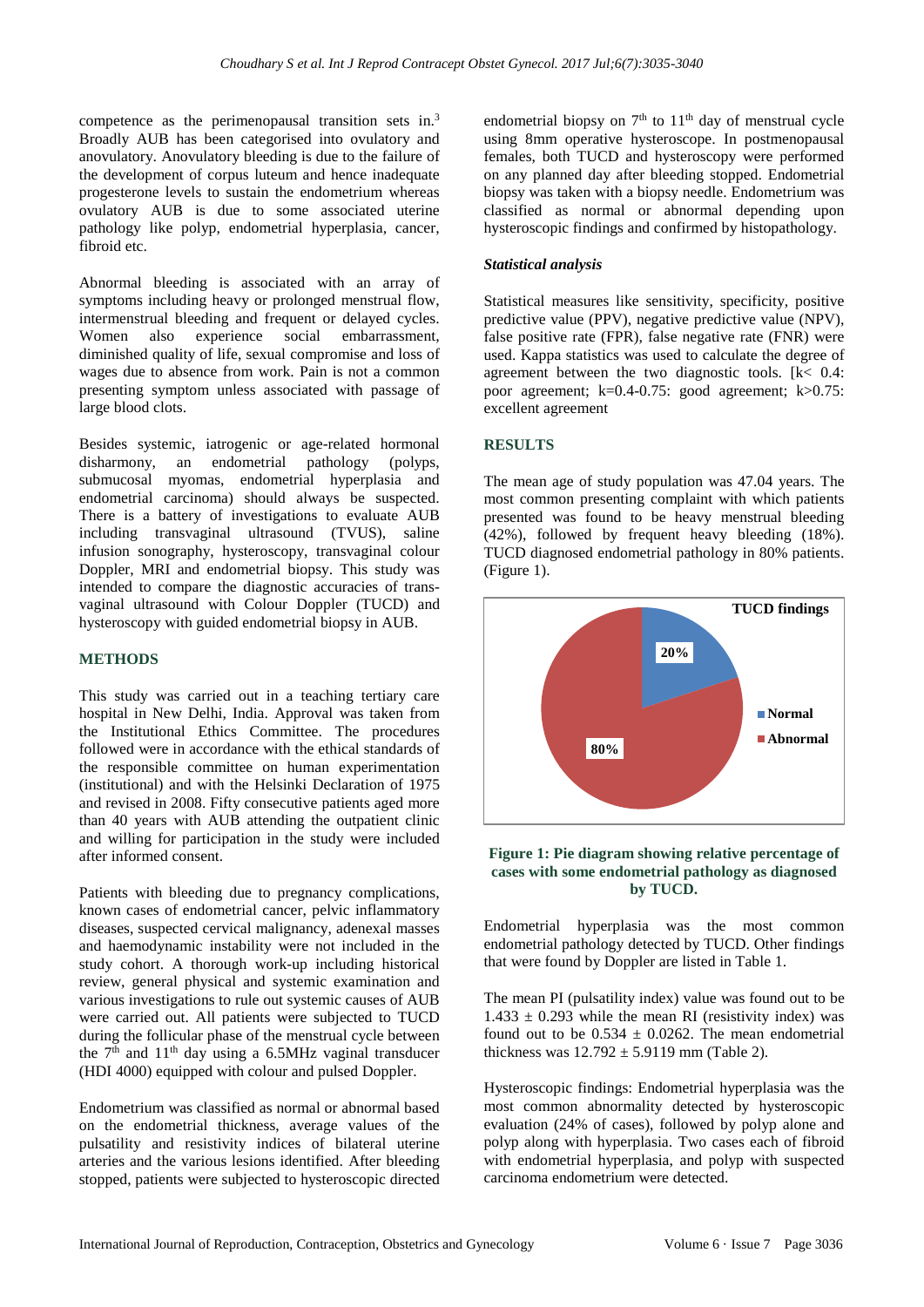competence as the perimenopausal transition sets in.<sup>3</sup> Broadly AUB has been categorised into ovulatory and anovulatory. Anovulatory bleeding is due to the failure of the development of corpus luteum and hence inadequate progesterone levels to sustain the endometrium whereas ovulatory AUB is due to some associated uterine pathology like polyp, endometrial hyperplasia, cancer, fibroid etc.

Abnormal bleeding is associated with an array of symptoms including heavy or prolonged menstrual flow, intermenstrual bleeding and frequent or delayed cycles. Women also experience social embarrassment, diminished quality of life, sexual compromise and loss of wages due to absence from work. Pain is not a common presenting symptom unless associated with passage of large blood clots.

Besides systemic, iatrogenic or age-related hormonal disharmony, an endometrial pathology (polyps, submucosal myomas, endometrial hyperplasia and endometrial carcinoma) should always be suspected. There is a battery of investigations to evaluate AUB including transvaginal ultrasound (TVUS), saline infusion sonography, hysteroscopy, transvaginal colour Doppler, MRI and endometrial biopsy. This study was intended to compare the diagnostic accuracies of transvaginal ultrasound with Colour Doppler (TUCD) and hysteroscopy with guided endometrial biopsy in AUB.

#### **METHODS**

This study was carried out in a teaching tertiary care hospital in New Delhi, India. Approval was taken from the Institutional Ethics Committee. The procedures followed were in accordance with the ethical standards of the responsible committee on human experimentation (institutional) and with the Helsinki Declaration of 1975 and revised in 2008. Fifty consecutive patients aged more than 40 years with AUB attending the outpatient clinic and willing for participation in the study were included after informed consent.

Patients with bleeding due to pregnancy complications, known cases of endometrial cancer, pelvic inflammatory diseases, suspected cervical malignancy, adenexal masses and haemodynamic instability were not included in the study cohort. A thorough work-up including historical review, general physical and systemic examination and various investigations to rule out systemic causes of AUB were carried out. All patients were subjected to TUCD during the follicular phase of the menstrual cycle between the  $7<sup>th</sup>$  and  $11<sup>th</sup>$  day using a 6.5MHz vaginal transducer (HDI 4000) equipped with colour and pulsed Doppler.

Endometrium was classified as normal or abnormal based on the endometrial thickness, average values of the pulsatility and resistivity indices of bilateral uterine arteries and the various lesions identified. After bleeding stopped, patients were subjected to hysteroscopic directed

endometrial biopsy on  $7<sup>th</sup>$  to  $11<sup>th</sup>$  day of menstrual cycle using 8mm operative hysteroscope. In postmenopausal females, both TUCD and hysteroscopy were performed on any planned day after bleeding stopped. Endometrial biopsy was taken with a biopsy needle. Endometrium was classified as normal or abnormal depending upon hysteroscopic findings and confirmed by histopathology.

# *Statistical analysis*

Statistical measures like sensitivity, specificity, positive predictive value (PPV), negative predictive value (NPV), false positive rate (FPR), false negative rate (FNR) were used. Kappa statistics was used to calculate the degree of agreement between the two diagnostic tools. [k< 0.4: poor agreement; k=0.4-0.75: good agreement; k>0.75: excellent agreement

# **RESULTS**

The mean age of study population was 47.04 years. The most common presenting complaint with which patients presented was found to be heavy menstrual bleeding (42%), followed by frequent heavy bleeding (18%). TUCD diagnosed endometrial pathology in 80% patients. (Figure 1).



#### **Figure 1: Pie diagram showing relative percentage of cases with some endometrial pathology as diagnosed by TUCD.**

Endometrial hyperplasia was the most common endometrial pathology detected by TUCD. Other findings that were found by Doppler are listed in Table 1.

The mean PI (pulsatility index) value was found out to be  $1.433 \pm 0.293$  while the mean RI (resistivity index) was found out to be  $0.534 \pm 0.0262$ . The mean endometrial thickness was  $12.792 \pm 5.9119$  mm (Table 2).

Hysteroscopic findings: Endometrial hyperplasia was the most common abnormality detected by hysteroscopic evaluation (24% of cases), followed by polyp alone and polyp along with hyperplasia. Two cases each of fibroid with endometrial hyperplasia, and polyp with suspected carcinoma endometrium were detected.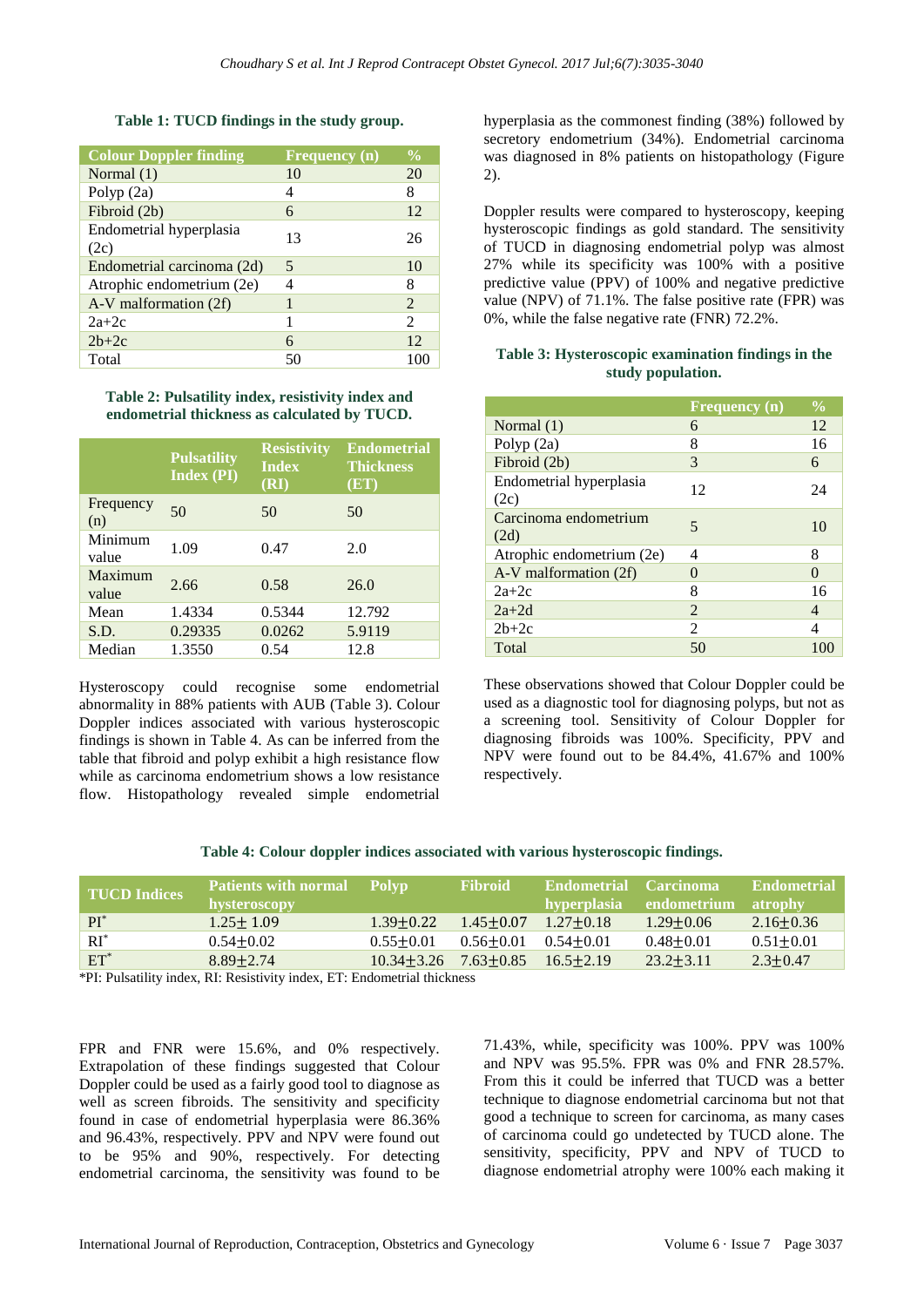#### **Table 1: TUCD findings in the study group.**

| <b>Colour Doppler finding</b>   | $F_{\text{requency}}(n)$ | $\frac{0}{0}$  |
|---------------------------------|--------------------------|----------------|
| Normal $(1)$                    | 10                       | 20             |
| Polyp $(2a)$                    | 4                        | 8              |
| Fibroid (2b)                    | 6                        | 12             |
| Endometrial hyperplasia<br>(2c) | 13                       | 26             |
| Endometrial carcinoma (2d)      | 5                        | 10             |
| Atrophic endometrium (2e)       |                          | 8              |
| A-V malformation (2f)           |                          | 2              |
| $2a+2c$                         |                          | $\mathfrak{D}$ |
| $2b+2c$                         | 6                        | 12             |
| Total                           | 50                       | 100            |

**Table 2: Pulsatility index, resistivity index and endometrial thickness as calculated by TUCD.**

|                  | <b>Pulsatility</b><br><b>Index (PI)</b> | <b>Resistivity</b><br><b>Index</b><br>(RI) | <b>Endometrial</b><br><b>Thickness</b><br>(ET) |
|------------------|-----------------------------------------|--------------------------------------------|------------------------------------------------|
| Frequency<br>(n) | 50                                      | 50                                         | 50                                             |
| Minimum<br>value | 1.09                                    | 0.47                                       | 2.0                                            |
| Maximum<br>value | 2.66                                    | 0.58                                       | 26.0                                           |
| Mean             | 1.4334                                  | 0.5344                                     | 12.792                                         |
| S.D.             | 0.29335                                 | 0.0262                                     | 5.9119                                         |
| Median           | 1.3550                                  | 0.54                                       | 12.8                                           |

Hysteroscopy could recognise some endometrial abnormality in 88% patients with AUB (Table 3). Colour Doppler indices associated with various hysteroscopic findings is shown in Table 4. As can be inferred from the table that fibroid and polyp exhibit a high resistance flow while as carcinoma endometrium shows a low resistance flow. Histopathology revealed simple endometrial hyperplasia as the commonest finding (38%) followed by secretory endometrium (34%). Endometrial carcinoma was diagnosed in 8% patients on histopathology (Figure 2).

Doppler results were compared to hysteroscopy, keeping hysteroscopic findings as gold standard. The sensitivity of TUCD in diagnosing endometrial polyp was almost 27% while its specificity was 100% with a positive predictive value (PPV) of 100% and negative predictive value (NPV) of 71.1%. The false positive rate (FPR) was 0%, while the false negative rate (FNR) 72.2%.

### **Table 3: Hysteroscopic examination findings in the study population.**

|                                 | <b>Frequency</b> $(n)$ | $\overline{\frac{0}{0}}$ |
|---------------------------------|------------------------|--------------------------|
| Normal $(1)$                    | 6                      | 12                       |
| Polyp $(2a)$                    | 8                      | 16                       |
| Fibroid (2b)                    | 3                      | 6                        |
| Endometrial hyperplasia<br>(2c) | 12                     | 24                       |
| Carcinoma endometrium<br>(2d)   | 5                      | 10                       |
| Atrophic endometrium (2e)       | 4                      | 8                        |
| A-V malformation (2f)           | 0                      | $\Omega$                 |
| $2a+2c$                         | 8                      | 16                       |
| $2a+2d$                         | $\overline{c}$         | 4                        |
| $2b+2c$                         | $\mathfrak{D}$         | 4                        |
| Total                           | 50                     | 100                      |

These observations showed that Colour Doppler could be used as a diagnostic tool for diagnosing polyps, but not as a screening tool. Sensitivity of Colour Doppler for diagnosing fibroids was 100%. Specificity, PPV and NPV were found out to be 84.4%, 41.67% and 100% respectively.

#### **Table 4: Colour doppler indices associated with various hysteroscopic findings.**

| <b>TUCD Indices</b> | <b>Patients with normal</b> Polyp<br>hysteroscopy                                                                                                                                                                               |                | <b>Fibroid</b> | <b>Endometrial</b><br>hyperplasia | <b>Carcinoma</b><br>endometrium | <b>Endometrial</b><br>atrophy |
|---------------------|---------------------------------------------------------------------------------------------------------------------------------------------------------------------------------------------------------------------------------|----------------|----------------|-----------------------------------|---------------------------------|-------------------------------|
| $PI^*$              | $1.25 + 1.09$                                                                                                                                                                                                                   | $1.39 + 0.22$  | $1.45 + 0.07$  | $1.27 + 0.18$                     | $1.29 + 0.06$                   | $2.16 \pm 0.36$               |
| $RI^*$              | $0.54 + 0.02$                                                                                                                                                                                                                   | $0.55 + 0.01$  | $0.56 + 0.01$  | $0.54 + 0.01$                     | $0.48 + 0.01$                   | $0.51 + 0.01$                 |
| $ET^*$              | $8.89 + 2.74$                                                                                                                                                                                                                   | $10.34 + 3.26$ | $7.63 + 0.85$  | $16.5 + 2.19$                     | $23.2 + 3.11$                   | $2.3 + 0.47$                  |
|                     | $\ast$ of order to the contract of the contract of the contract of the contract of the contract of the contract of the contract of the contract of the contract of the contract of the contract of the contract of the contract |                |                |                                   |                                 |                               |

\*PI: Pulsatility index, RI: Resistivity index, ET: Endometrial thickness

FPR and FNR were 15.6%, and 0% respectively. Extrapolation of these findings suggested that Colour Doppler could be used as a fairly good tool to diagnose as well as screen fibroids. The sensitivity and specificity found in case of endometrial hyperplasia were 86.36% and 96.43%, respectively. PPV and NPV were found out to be 95% and 90%, respectively. For detecting endometrial carcinoma, the sensitivity was found to be 71.43%, while, specificity was 100%. PPV was 100% and NPV was 95.5%. FPR was 0% and FNR 28.57%. From this it could be inferred that TUCD was a better technique to diagnose endometrial carcinoma but not that good a technique to screen for carcinoma, as many cases of carcinoma could go undetected by TUCD alone. The sensitivity, specificity, PPV and NPV of TUCD to diagnose endometrial atrophy were 100% each making it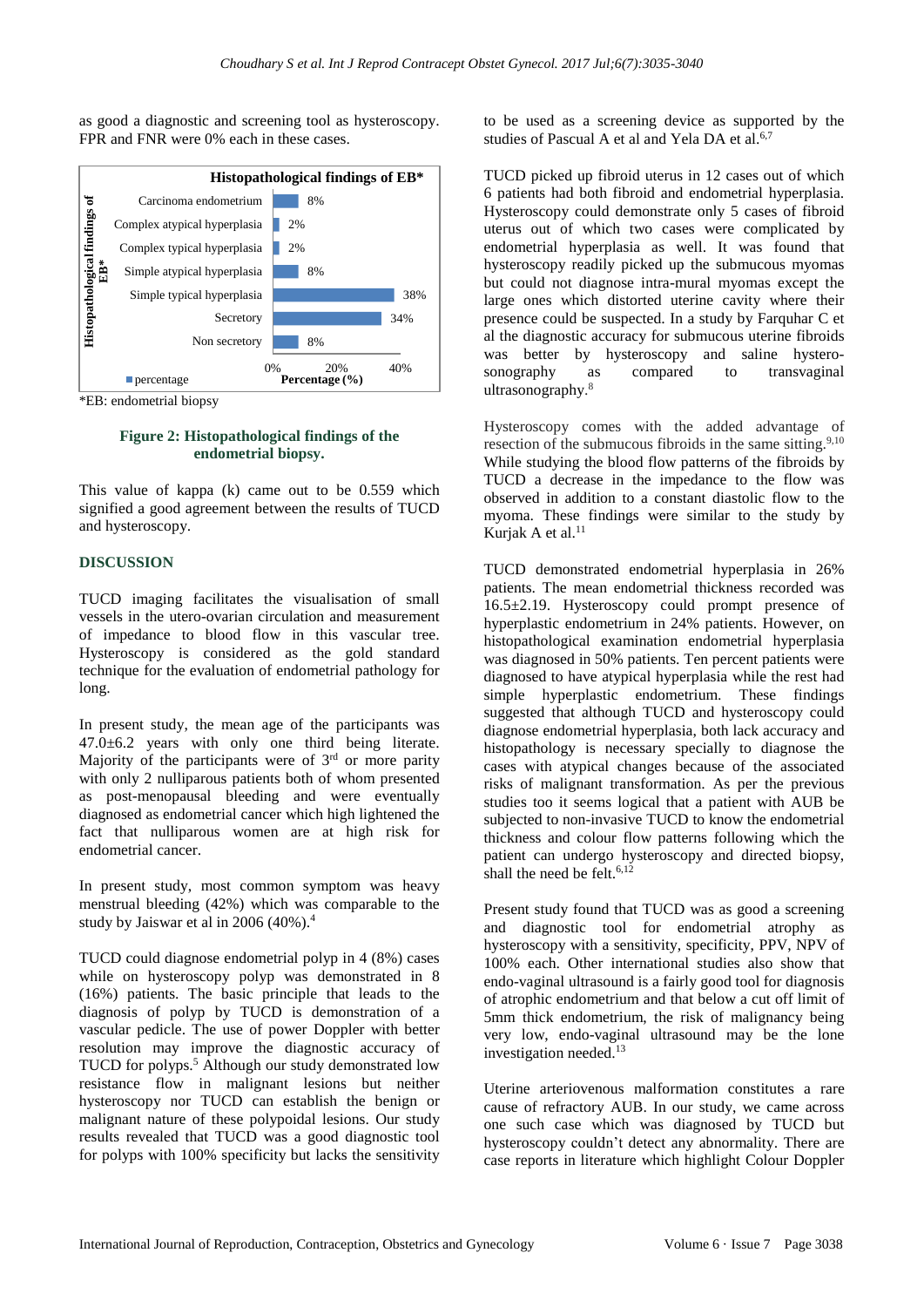as good a diagnostic and screening tool as hysteroscopy. FPR and FNR were 0% each in these cases.



**Figure 2: Histopathological findings of the endometrial biopsy.**

This value of kappa (k) came out to be 0.559 which signified a good agreement between the results of TUCD and hysteroscopy.

#### **DISCUSSION**

TUCD imaging facilitates the visualisation of small vessels in the utero-ovarian circulation and measurement of impedance to blood flow in this vascular tree. Hysteroscopy is considered as the gold standard technique for the evaluation of endometrial pathology for long.

In present study, the mean age of the participants was 47.0±6.2 years with only one third being literate. Majority of the participants were of  $3<sup>rd</sup>$  or more parity with only 2 nulliparous patients both of whom presented as post-menopausal bleeding and were eventually diagnosed as endometrial cancer which high lightened the fact that nulliparous women are at high risk for endometrial cancer.

In present study, most common symptom was heavy menstrual bleeding (42%) which was comparable to the study by Jaiswar et al in 2006 (40%).<sup>4</sup>

TUCD could diagnose endometrial polyp in 4 (8%) cases while on hysteroscopy polyp was demonstrated in 8 (16%) patients. The basic principle that leads to the diagnosis of polyp by TUCD is demonstration of a vascular pedicle. The use of power Doppler with better resolution may improve the diagnostic accuracy of TUCD for polyps.<sup>5</sup> Although our study demonstrated low resistance flow in malignant lesions but neither hysteroscopy nor TUCD can establish the benign or malignant nature of these polypoidal lesions. Our study results revealed that TUCD was a good diagnostic tool for polyps with 100% specificity but lacks the sensitivity to be used as a screening device as supported by the studies of Pascual A et al and Yela DA et al.<sup>6,7</sup>

TUCD picked up fibroid uterus in 12 cases out of which 6 patients had both fibroid and endometrial hyperplasia. Hysteroscopy could demonstrate only 5 cases of fibroid uterus out of which two cases were complicated by endometrial hyperplasia as well. It was found that hysteroscopy readily picked up the submucous myomas but could not diagnose intra-mural myomas except the large ones which distorted uterine cavity where their presence could be suspected. In a study by Farquhar C et al the diagnostic accuracy for submucous uterine fibroids was better by hysteroscopy and saline hysterosonography as compared to transvaginal ultrasonography. 8

Hysteroscopy comes with the added advantage of resection of the submucous fibroids in the same sitting.<sup>9,10</sup> While studying the blood flow patterns of the fibroids by TUCD a decrease in the impedance to the flow was observed in addition to a constant diastolic flow to the myoma. These findings were similar to the study by Kurjak A et al.<sup>11</sup>

TUCD demonstrated endometrial hyperplasia in 26% patients. The mean endometrial thickness recorded was 16.5±2.19. Hysteroscopy could prompt presence of hyperplastic endometrium in 24% patients. However, on histopathological examination endometrial hyperplasia was diagnosed in 50% patients. Ten percent patients were diagnosed to have atypical hyperplasia while the rest had simple hyperplastic endometrium. These findings suggested that although TUCD and hysteroscopy could diagnose endometrial hyperplasia, both lack accuracy and histopathology is necessary specially to diagnose the cases with atypical changes because of the associated risks of malignant transformation. As per the previous studies too it seems logical that a patient with AUB be subjected to non-invasive TUCD to know the endometrial thickness and colour flow patterns following which the patient can undergo hysteroscopy and directed biopsy, shall the need be felt. $6,12$ 

Present study found that TUCD was as good a screening and diagnostic tool for endometrial atrophy as hysteroscopy with a sensitivity, specificity, PPV, NPV of 100% each. Other international studies also show that endo-vaginal ultrasound is a fairly good tool for diagnosis of atrophic endometrium and that below a cut off limit of 5mm thick endometrium, the risk of malignancy being very low, endo-vaginal ultrasound may be the lone investigation needed.<sup>13</sup>

Uterine arteriovenous malformation constitutes a rare cause of refractory AUB. In our study, we came across one such case which was diagnosed by TUCD but hysteroscopy couldn't detect any abnormality. There are case reports in literature which highlight Colour Doppler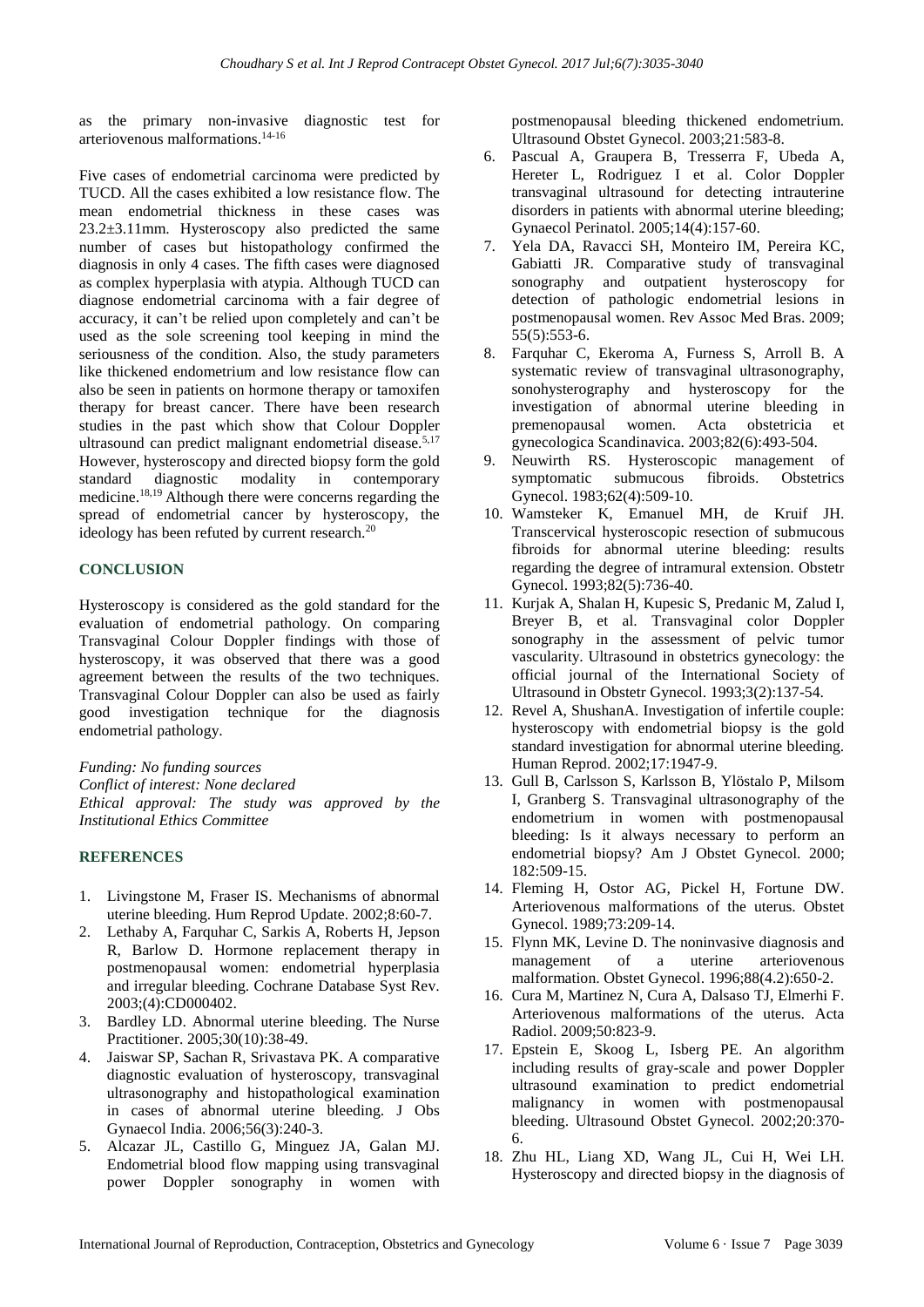as the primary non-invasive diagnostic test for arteriovenous malformations.14-16

Five cases of endometrial carcinoma were predicted by TUCD. All the cases exhibited a low resistance flow. The mean endometrial thickness in these cases was 23.2±3.11mm. Hysteroscopy also predicted the same number of cases but histopathology confirmed the diagnosis in only 4 cases. The fifth cases were diagnosed as complex hyperplasia with atypia. Although TUCD can diagnose endometrial carcinoma with a fair degree of accuracy, it can't be relied upon completely and can't be used as the sole screening tool keeping in mind the seriousness of the condition. Also, the study parameters like thickened endometrium and low resistance flow can also be seen in patients on hormone therapy or tamoxifen therapy for breast cancer. There have been research studies in the past which show that Colour Doppler ultrasound can predict malignant endometrial disease.<sup>5,17</sup> However, hysteroscopy and directed biopsy form the gold standard diagnostic modality in contemporary medicine.18,19 Although there were concerns regarding the spread of endometrial cancer by hysteroscopy, the ideology has been refuted by current research.<sup>20</sup>

#### **CONCLUSION**

Hysteroscopy is considered as the gold standard for the evaluation of endometrial pathology. On comparing Transvaginal Colour Doppler findings with those of hysteroscopy, it was observed that there was a good agreement between the results of the two techniques. Transvaginal Colour Doppler can also be used as fairly good investigation technique for the diagnosis endometrial pathology.

*Funding: No funding sources*

*Conflict of interest: None declared Ethical approval: The study was approved by the Institutional Ethics Committee*

#### **REFERENCES**

- 1. Livingstone M, Fraser IS. Mechanisms of abnormal uterine bleeding. Hum Reprod Update. 2002;8:60-7.
- 2. Lethaby A, Farquhar C, Sarkis A, Roberts H, Jepson R, Barlow D. Hormone replacement therapy in postmenopausal women: endometrial hyperplasia and irregular bleeding. Cochrane Database Syst Rev. 2003;(4):CD000402.
- 3. Bardley LD. Abnormal uterine bleeding. The Nurse Practitioner. 2005;30(10):38-49.
- 4. Jaiswar SP, Sachan R, Srivastava PK. A comparative diagnostic evaluation of hysteroscopy, transvaginal ultrasonography and histopathological examination in cases of abnormal uterine bleeding. J Obs Gynaecol India. 2006;56(3):240-3.
- 5. Alcazar JL, Castillo G, Minguez JA, Galan MJ. Endometrial blood flow mapping using transvaginal power Doppler sonography in women with

postmenopausal bleeding thickened endometrium. Ultrasound Obstet Gynecol. 2003;21:583-8.

- 6. Pascual A, Graupera B, Tresserra F, Ubeda A, Hereter L, Rodriguez I et al. Color Doppler transvaginal ultrasound for detecting intrauterine disorders in patients with abnormal uterine bleeding; Gynaecol Perinatol. 2005;14(4):157-60.
- 7. Yela DA, Ravacci SH, Monteiro IM, Pereira KC, Gabiatti JR. Comparative study of transvaginal sonography and outpatient hysteroscopy for detection of pathologic endometrial lesions in postmenopausal women. Rev Assoc Med Bras. 2009; 55(5):553-6.
- 8. Farquhar C, Ekeroma A, Furness S, Arroll B. A systematic review of transvaginal ultrasonography, sonohysterography and hysteroscopy for the investigation of abnormal uterine bleeding in premenopausal women. Acta obstetricia et gynecologica Scandinavica. 2003;82(6):493-504.
- 9. Neuwirth RS. Hysteroscopic management of symptomatic submucous fibroids. Obstetrics Gynecol. 1983;62(4):509-10.
- 10. Wamsteker K, Emanuel MH, de Kruif JH. Transcervical hysteroscopic resection of submucous fibroids for abnormal uterine bleeding: results regarding the degree of intramural extension. Obstetr Gynecol. 1993;82(5):736-40.
- 11. Kurjak A, Shalan H, Kupesic S, Predanic M, Zalud I, Breyer B, et al. Transvaginal color Doppler sonography in the assessment of pelvic tumor vascularity. Ultrasound in obstetrics gynecology: the official journal of the International Society of Ultrasound in Obstetr Gynecol. 1993;3(2):137-54.
- 12. Revel A, ShushanA. Investigation of infertile couple: hysteroscopy with endometrial biopsy is the gold standard investigation for abnormal uterine bleeding. Human Reprod. 2002;17:1947-9.
- 13. Gull B, Carlsson S, Karlsson B, Ylöstalo P, Milsom I, Granberg S. Transvaginal ultrasonography of the endometrium in women with postmenopausal bleeding: Is it always necessary to perform an endometrial biopsy? Am J Obstet Gynecol. 2000; 182:509-15.
- 14. Fleming H, Ostor AG, Pickel H, Fortune DW. Arteriovenous malformations of the uterus. Obstet Gynecol. 1989;73:209-14.
- 15. Flynn MK, Levine D. The noninvasive diagnosis and management of a uterine arteriovenous malformation. Obstet Gynecol. 1996;88(4.2):650-2.
- 16. Cura M, Martinez N, Cura A, Dalsaso TJ, Elmerhi F. Arteriovenous malformations of the uterus. Acta Radiol. 2009;50:823-9.
- 17. Epstein E, Skoog L, Isberg PE. An algorithm including results of gray-scale and power Doppler ultrasound examination to predict endometrial malignancy in women with postmenopausal bleeding. Ultrasound Obstet Gynecol. 2002;20:370- 6.
- 18. Zhu HL, Liang XD, Wang JL, Cui H, Wei LH. Hysteroscopy and directed biopsy in the diagnosis of